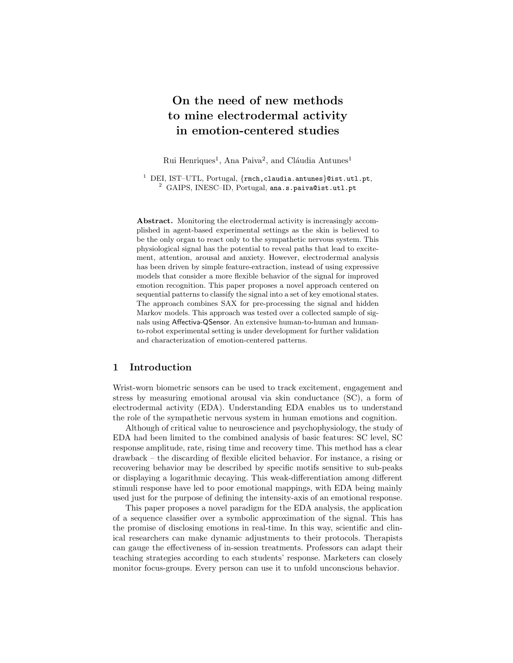# On the need of new methods to mine electrodermal activity in emotion-centered studies

Rui Henriques<sup>1</sup>, Ana Paiva<sup>2</sup>, and Cláudia Antunes<sup>1</sup>

 $1$  DEI, IST-UTL, Portugal, {rmch, claudia.antunes}@ist.utl.pt, <sup>2</sup> GAIPS, INESC–ID, Portugal, ana.s.paiva@ist.utl.pt

Abstract. Monitoring the electrodermal activity is increasingly accomplished in agent-based experimental settings as the skin is believed to be the only organ to react only to the sympathetic nervous system. This physiological signal has the potential to reveal paths that lead to excitement, attention, arousal and anxiety. However, electrodermal analysis has been driven by simple feature-extraction, instead of using expressive models that consider a more flexible behavior of the signal for improved emotion recognition. This paper proposes a novel approach centered on sequential patterns to classify the signal into a set of key emotional states. The approach combines SAX for pre-processing the signal and hidden Markov models. This approach was tested over a collected sample of signals using Affectiva-QSensor. An extensive human-to-human and humanto-robot experimental setting is under development for further validation and characterization of emotion-centered patterns.

# 1 Introduction

Wrist-worn biometric sensors can be used to track excitement, engagement and stress by measuring emotional arousal via skin conductance (SC), a form of electrodermal activity (EDA). Understanding EDA enables us to understand the role of the sympathetic nervous system in human emotions and cognition.

Although of critical value to neuroscience and psychophysiology, the study of EDA had been limited to the combined analysis of basic features: SC level, SC response amplitude, rate, rising time and recovery time. This method has a clear drawback – the discarding of flexible elicited behavior. For instance, a rising or recovering behavior may be described by specific motifs sensitive to sub-peaks or displaying a logarithmic decaying. This weak-differentiation among different stimuli response have led to poor emotional mappings, with EDA being mainly used just for the purpose of defining the intensity-axis of an emotional response.

This paper proposes a novel paradigm for the EDA analysis, the application of a sequence classifier over a symbolic approximation of the signal. This has the promise of disclosing emotions in real-time. In this way, scientific and clinical researchers can make dynamic adjustments to their protocols. Therapists can gauge the effectiveness of in-session treatments. Professors can adapt their teaching strategies according to each students' response. Marketers can closely monitor focus-groups. Every person can use it to unfold unconscious behavior.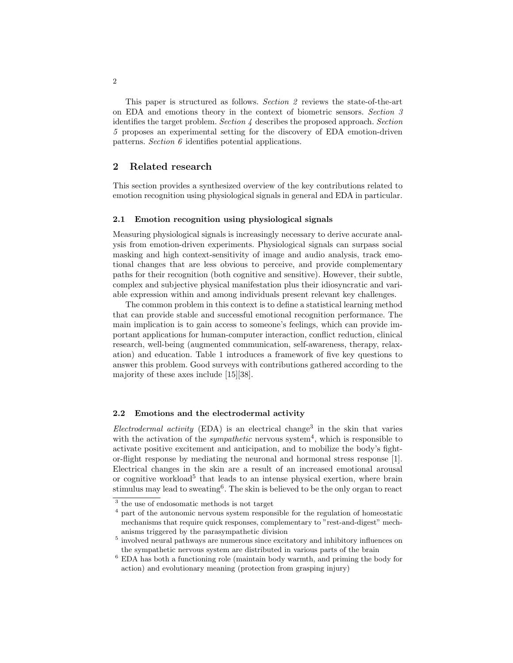This paper is structured as follows. Section 2 reviews the state-of-the-art on EDA and emotions theory in the context of biometric sensors. Section 3 identifies the target problem. Section  $\lambda$  describes the proposed approach. Section 5 proposes an experimental setting for the discovery of EDA emotion-driven patterns. Section 6 identifies potential applications.

## 2 Related research

This section provides a synthesized overview of the key contributions related to emotion recognition using physiological signals in general and EDA in particular.

#### 2.1 Emotion recognition using physiological signals

Measuring physiological signals is increasingly necessary to derive accurate analysis from emotion-driven experiments. Physiological signals can surpass social masking and high context-sensitivity of image and audio analysis, track emotional changes that are less obvious to perceive, and provide complementary paths for their recognition (both cognitive and sensitive). However, their subtle, complex and subjective physical manifestation plus their idiosyncratic and variable expression within and among individuals present relevant key challenges.

The common problem in this context is to define a statistical learning method that can provide stable and successful emotional recognition performance. The main implication is to gain access to someone's feelings, which can provide important applications for human-computer interaction, conflict reduction, clinical research, well-being (augmented communication, self-awareness, therapy, relaxation) and education. Table 1 introduces a framework of five key questions to answer this problem. Good surveys with contributions gathered according to the majority of these axes include [15][38].

#### 2.2 Emotions and the electrodermal activity

 $Electrodermal activity$  (EDA) is an electrical change<sup>3</sup> in the skin that varies with the activation of the *sympathetic* nervous system<sup>4</sup>, which is responsible to activate positive excitement and anticipation, and to mobilize the body's fightor-flight response by mediating the neuronal and hormonal stress response [1]. Electrical changes in the skin are a result of an increased emotional arousal or cognitive workload<sup>5</sup> that leads to an intense physical exertion, where brain stimulus may lead to sweating<sup>6</sup>. The skin is believed to be the only organ to react

<sup>&</sup>lt;sup>3</sup> the use of endosomatic methods is not target

 $4$  part of the autonomic nervous system responsible for the regulation of homeostatic mechanisms that require quick responses, complementary to "rest-and-digest" mechanisms triggered by the parasympathetic division

<sup>&</sup>lt;sup>5</sup> involved neural pathways are numerous since excitatory and inhibitory influences on the sympathetic nervous system are distributed in various parts of the brain

<sup>6</sup> EDA has both a functioning role (maintain body warmth, and priming the body for action) and evolutionary meaning (protection from grasping injury)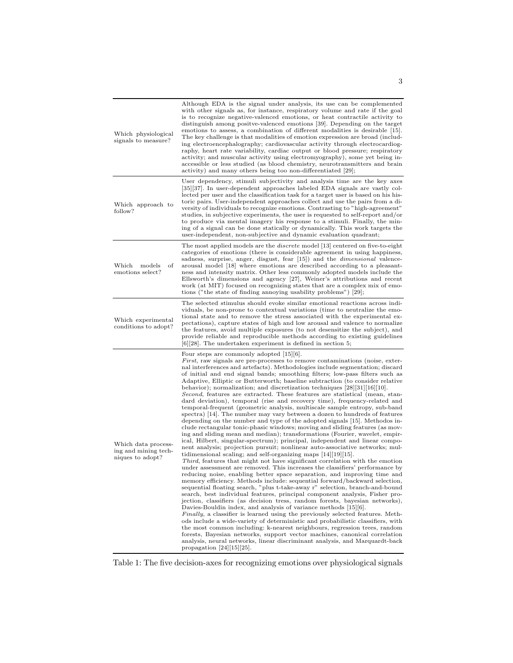| Which physiological<br>signals to measure?                      | Although EDA is the signal under analysis, its use can be complemented<br>with other signals as, for instance, respiratory volume and rate if the goal<br>is to recognize negative-valenced emotions, or heat contractile activity to<br>distinguish among positive-valenced emotions [39]. Depending on the target<br>emotions to assess, a combination of different modalities is desirable [15].<br>The key challenge is that modalities of emotion expression are broad (includ-<br>ing electroencephalography; cardiovascular activity through electrocardiog-<br>raphy, heart rate variability, cardiac output or blood pressure; respiratory<br>activity; and muscular activity using electromyography), some yet being in-<br>accessible or less studied (as blood chemistry, neurotransmitters and brain<br>activity) and many others being too non-differentiated [29];                                                                                                                                                                                                                                                                                                                                                                                                                                                                                                                                                                                                                                                                                                                                                                                                                                                                                                                                                                                                                                                                                                                                                                                                                                                                                                                                                                                                                                                                                                        |
|-----------------------------------------------------------------|------------------------------------------------------------------------------------------------------------------------------------------------------------------------------------------------------------------------------------------------------------------------------------------------------------------------------------------------------------------------------------------------------------------------------------------------------------------------------------------------------------------------------------------------------------------------------------------------------------------------------------------------------------------------------------------------------------------------------------------------------------------------------------------------------------------------------------------------------------------------------------------------------------------------------------------------------------------------------------------------------------------------------------------------------------------------------------------------------------------------------------------------------------------------------------------------------------------------------------------------------------------------------------------------------------------------------------------------------------------------------------------------------------------------------------------------------------------------------------------------------------------------------------------------------------------------------------------------------------------------------------------------------------------------------------------------------------------------------------------------------------------------------------------------------------------------------------------------------------------------------------------------------------------------------------------------------------------------------------------------------------------------------------------------------------------------------------------------------------------------------------------------------------------------------------------------------------------------------------------------------------------------------------------------------------------------------------------------------------------------------------------|
| Which approach to<br>follow?                                    | User dependency, stimuli subjectivity and analysis time are the key axes<br>[35][37]. In user-dependent approaches labeled EDA signals are vastly col-<br>lected per user and the classification task for a target user is based on his his-<br>toric pairs. User-independent approaches collect and use the pairs from a di-<br>versity of individuals to recognize emotions. Contrasting to "high-agreement"<br>studies, in subjective experiments, the user is requested to self-report and/or<br>to produce via mental imagery his response to a stimuli. Finally, the min-<br>ing of a signal can be done statically or dynamically. This work targets the<br>user-independent, non-subjective and dynamic evaluation quadrant;                                                                                                                                                                                                                                                                                                                                                                                                                                                                                                                                                                                                                                                                                                                                                                                                                                                                                                                                                                                                                                                                                                                                                                                                                                                                                                                                                                                                                                                                                                                                                                                                                                                     |
| Which<br>models<br>οf<br>emotions select?                       | The most applied models are the <i>discrete</i> model [13] centered on five-to-eight<br>categories of emotions (there is considerable agreement in using happiness,<br>sadness, surprise, anger, disgust, fear [15]) and the <i>dimensional</i> valence-<br>arousal model [18] where emotions are described according to a pleasant-<br>ness and intensity matrix. Other less commonly adopted models include the<br>Ellsworth's dimensions and agency [27], Weiner's attributions and recent<br>work (at MIT) focused on recognizing states that are a complex mix of emo-<br>tions ("the state of finding annoying usability problems") [29];                                                                                                                                                                                                                                                                                                                                                                                                                                                                                                                                                                                                                                                                                                                                                                                                                                                                                                                                                                                                                                                                                                                                                                                                                                                                                                                                                                                                                                                                                                                                                                                                                                                                                                                                          |
| Which experimental<br>conditions to adopt?                      | The selected stimulus should evoke similar emotional reactions across indi-<br>viduals, be non-prone to contextual variations (time to neutralize the emo-<br>tional state and to remove the stress associated with the experimental ex-<br>pectations), capture states of high and low arousal and valence to normalize<br>the features, avoid multiple exposures (to not desensitize the subject), and<br>provide reliable and reproducible methods according to existing guidelines<br>$ 6 28 $ . The undertaken experiment is defined in section 5;                                                                                                                                                                                                                                                                                                                                                                                                                                                                                                                                                                                                                                                                                                                                                                                                                                                                                                                                                                                                                                                                                                                                                                                                                                                                                                                                                                                                                                                                                                                                                                                                                                                                                                                                                                                                                                  |
| Which data process-<br>ing and mining tech-<br>niques to adopt? | Four steps are commonly adopted $ 15  6 $ .<br><i>First</i> , raw signals are pre-processes to remove contaminations (noise, exter-<br>nal interferences and artefacts). Methodologies include segmentation; discard<br>of initial and end signal bands; smoothing filters; low-pass filters such as<br>Adaptive, Elliptic or Butterworth; baseline subtraction (to consider relative<br>behavior); normalization; and discretization techniques $ 28  31  16  10 $ .<br><i>Second</i> , features are extracted. These features are statistical (mean, stan-<br>dard deviation), temporal (rise and recovery time), frequency-related and<br>temporal-frequent (geometric analysis, multiscale sample entropy, sub-band<br>spectra) [14]. The number may vary between a dozen to hundreds of features<br>depending on the number and type of the adopted signals [15]. Methodos in-<br>clude rectangular tonic-phasic windows; moving and sliding features (as mov-<br>ing and sliding mean and median); transformations (Fourier, wavelet, empir-<br>ical, Hilbert, singular-spectrum); principal, independent and linear compo-<br>nent analysis; projection pursuit; nonlinear auto-associative networks; mul-<br>tidimensional scaling; and self-organizing maps $ 14  19  15 $ .<br><i>Third</i> , features that might not have significant correlation with the emotion<br>under assessment are removed. This increases the classifiers' performance by<br>reducing noise, enabling better space separation, and improving time and<br>memory efficiency. Methods include: sequential forward/backward selection,<br>sequential floating search, "plus t-take-away r" selection, branch-and-bound<br>search, best individual features, principal component analysis, Fisher pro-<br>jection, classifiers (as decision tress, random forests, bayesian networks),<br>Davies-Bouldin index, and analysis of variance methods [15][6].<br>Finally, a classifier is learned using the previously selected features. Meth-<br>ods include a wide-variety of deterministic and probabilistic classifiers, with<br>the most common including: k-nearest neighbours, regression trees, random<br>forests, Bayesian networks, support vector machines, canonical correlation<br>analysis, neural networks, linear discriminant analysis, and Marquardt-back<br>propagation $[24][15][25]$ . |

Table 1: The five decision-axes for recognizing emotions over physiological signals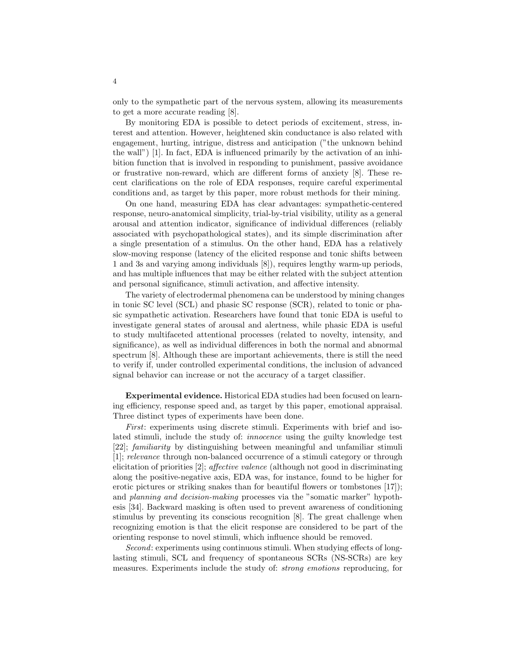only to the sympathetic part of the nervous system, allowing its measurements to get a more accurate reading [8].

By monitoring EDA is possible to detect periods of excitement, stress, interest and attention. However, heightened skin conductance is also related with engagement, hurting, intrigue, distress and anticipation ("the unknown behind the wall") [1]. In fact, EDA is influenced primarily by the activation of an inhibition function that is involved in responding to punishment, passive avoidance or frustrative non-reward, which are different forms of anxiety [8]. These recent clarifications on the role of EDA responses, require careful experimental conditions and, as target by this paper, more robust methods for their mining.

On one hand, measuring EDA has clear advantages: sympathetic-centered response, neuro-anatomical simplicity, trial-by-trial visibility, utility as a general arousal and attention indicator, significance of individual differences (reliably associated with psychopathological states), and its simple discrimination after a single presentation of a stimulus. On the other hand, EDA has a relatively slow-moving response (latency of the elicited response and tonic shifts between 1 and 3s and varying among individuals [8]), requires lengthy warm-up periods, and has multiple influences that may be either related with the subject attention and personal significance, stimuli activation, and affective intensity.

The variety of electrodermal phenomena can be understood by mining changes in tonic SC level (SCL) and phasic SC response (SCR), related to tonic or phasic sympathetic activation. Researchers have found that tonic EDA is useful to investigate general states of arousal and alertness, while phasic EDA is useful to study multifaceted attentional processes (related to novelty, intensity, and significance), as well as individual differences in both the normal and abnormal spectrum [8]. Although these are important achievements, there is still the need to verify if, under controlled experimental conditions, the inclusion of advanced signal behavior can increase or not the accuracy of a target classifier.

Experimental evidence. Historical EDA studies had been focused on learning efficiency, response speed and, as target by this paper, emotional appraisal. Three distinct types of experiments have been done.

First: experiments using discrete stimuli. Experiments with brief and isolated stimuli, include the study of: innocence using the guilty knowledge test [22]; familiarity by distinguishing between meaningful and unfamiliar stimuli [1]; relevance through non-balanced occurrence of a stimuli category or through elicitation of priorities [2]; affective valence (although not good in discriminating along the positive-negative axis, EDA was, for instance, found to be higher for erotic pictures or striking snakes than for beautiful flowers or tombstones [17]); and planning and decision-making processes via the "somatic marker" hypothesis [34]. Backward masking is often used to prevent awareness of conditioning stimulus by preventing its conscious recognition [8]. The great challenge when recognizing emotion is that the elicit response are considered to be part of the orienting response to novel stimuli, which influence should be removed.

Second: experiments using continuous stimuli. When studying effects of longlasting stimuli, SCL and frequency of spontaneous SCRs (NS-SCRs) are key measures. Experiments include the study of: strong emotions reproducing, for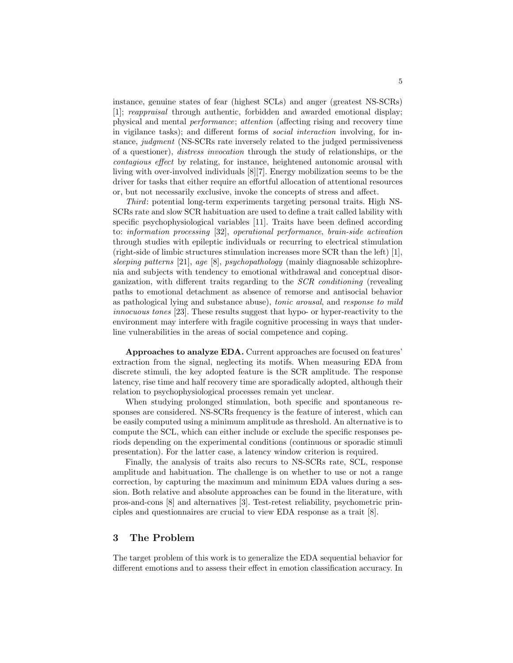instance, genuine states of fear (highest SCLs) and anger (greatest NS-SCRs) [1]; reappraisal through authentic, forbidden and awarded emotional display; physical and mental performance; attention (affecting rising and recovery time in vigilance tasks); and different forms of social interaction involving, for instance, judgment (NS-SCRs rate inversely related to the judged permissiveness of a questioner), distress invocation through the study of relationships, or the contagious effect by relating, for instance, heightened autonomic arousal with living with over-involved individuals [8][7]. Energy mobilization seems to be the driver for tasks that either require an effortful allocation of attentional resources or, but not necessarily exclusive, invoke the concepts of stress and affect.

Third: potential long-term experiments targeting personal traits. High NS-SCRs rate and slow SCR habituation are used to define a trait called lability with specific psychophysiological variables [11]. Traits have been defined according to: information processing [32], operational performance, brain-side activation through studies with epileptic individuals or recurring to electrical stimulation (right-side of limbic structures stimulation increases more SCR than the left) [1], sleeping patterns [21], age [8], psychopathology (mainly diagnosable schizophrenia and subjects with tendency to emotional withdrawal and conceptual disorganization, with different traits regarding to the SCR conditioning (revealing paths to emotional detachment as absence of remorse and antisocial behavior as pathological lying and substance abuse), tonic arousal, and response to mild innocuous tones [23]. These results suggest that hypo- or hyper-reactivity to the environment may interfere with fragile cognitive processing in ways that underline vulnerabilities in the areas of social competence and coping.

Approaches to analyze EDA. Current approaches are focused on features' extraction from the signal, neglecting its motifs. When measuring EDA from discrete stimuli, the key adopted feature is the SCR amplitude. The response latency, rise time and half recovery time are sporadically adopted, although their relation to psychophysiological processes remain yet unclear.

When studying prolonged stimulation, both specific and spontaneous responses are considered. NS-SCRs frequency is the feature of interest, which can be easily computed using a minimum amplitude as threshold. An alternative is to compute the SCL, which can either include or exclude the specific responses periods depending on the experimental conditions (continuous or sporadic stimuli presentation). For the latter case, a latency window criterion is required.

Finally, the analysis of traits also recurs to NS-SCRs rate, SCL, response amplitude and habituation. The challenge is on whether to use or not a range correction, by capturing the maximum and minimum EDA values during a session. Both relative and absolute approaches can be found in the literature, with pros-and-cons [8] and alternatives [3]. Test-retest reliability, psychometric principles and questionnaires are crucial to view EDA response as a trait [8].

# 3 The Problem

The target problem of this work is to generalize the EDA sequential behavior for different emotions and to assess their effect in emotion classification accuracy. In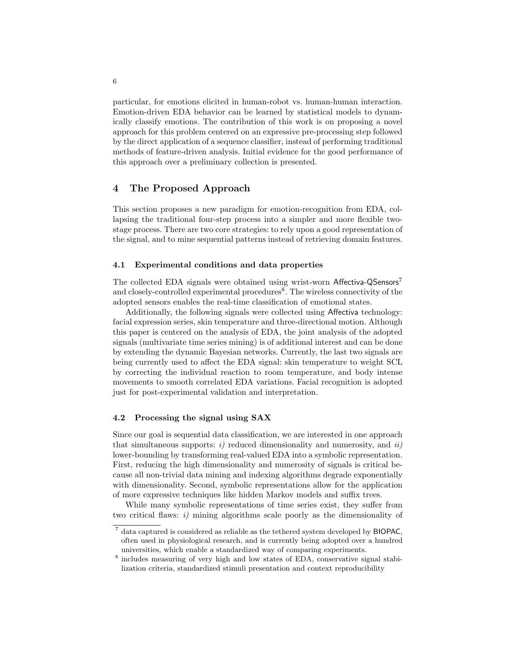particular, for emotions elicited in human-robot vs. human-human interaction. Emotion-driven EDA behavior can be learned by statistical models to dynamically classify emotions. The contribution of this work is on proposing a novel approach for this problem centered on an expressive pre-processing step followed by the direct application of a sequence classifier, instead of performing traditional methods of feature-driven analysis. Initial evidence for the good performance of this approach over a preliminary collection is presented.

# 4 The Proposed Approach

This section proposes a new paradigm for emotion-recognition from EDA, collapsing the traditional four-step process into a simpler and more flexible twostage process. There are two core strategies: to rely upon a good representation of the signal, and to mine sequential patterns instead of retrieving domain features.

#### 4.1 Experimental conditions and data properties

The collected EDA signals were obtained using wrist-worn Affectiva-QSensors<sup>7</sup> and closely-controlled experimental procedures<sup>8</sup>. The wireless connectivity of the adopted sensors enables the real-time classification of emotional states.

Additionally, the following signals were collected using Affectiva technology: facial expression series, skin temperature and three-directional motion. Although this paper is centered on the analysis of EDA, the joint analysis of the adopted signals (multivariate time series mining) is of additional interest and can be done by extending the dynamic Bayesian networks. Currently, the last two signals are being currently used to affect the EDA signal: skin temperature to weight SCL by correcting the individual reaction to room temperature, and body intense movements to smooth correlated EDA variations. Facial recognition is adopted just for post-experimental validation and interpretation.

### 4.2 Processing the signal using SAX

Since our goal is sequential data classification, we are interested in one approach that simultaneous supports:  $i$ ) reduced dimensionality and numerosity, and  $ii$ ) lower-bounding by transforming real-valued EDA into a symbolic representation. First, reducing the high dimensionality and numerosity of signals is critical because all non-trivial data mining and indexing algorithms degrade exponentially with dimensionality. Second, symbolic representations allow for the application of more expressive techniques like hidden Markov models and suffix trees.

While many symbolic representations of time series exist, they suffer from two critical flaws:  $i$ ) mining algorithms scale poorly as the dimensionality of

<sup>7</sup> data captured is considered as reliable as the tethered system developed by BIOPAC, often used in physiological research, and is currently being adopted over a hundred universities, which enable a standardized way of comparing experiments.

<sup>&</sup>lt;sup>8</sup> includes measuring of very high and low states of EDA, conservative signal stabilization criteria, standardized stimuli presentation and context reproducibility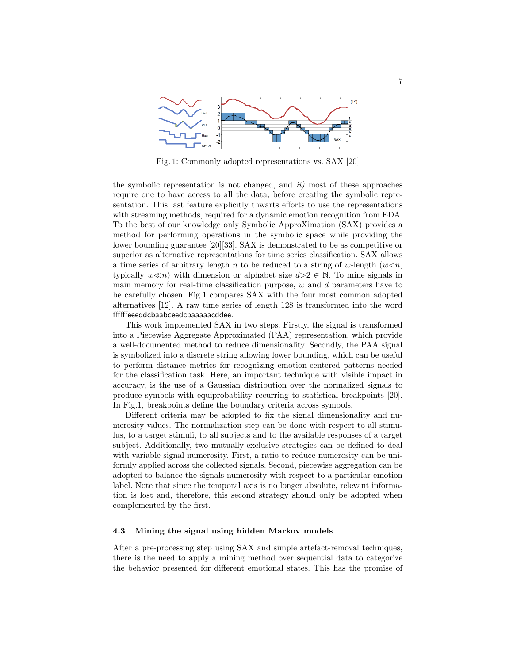

Fig. 1: Commonly adopted representations vs. SAX [20]

the symbolic representation is not changed, and  $ii$ ) most of these approaches require one to have access to all the data, before creating the symbolic representation. This last feature explicitly thwarts efforts to use the representations with streaming methods, required for a dynamic emotion recognition from EDA. To the best of our knowledge only Symbolic ApproXimation (SAX) provides a method for performing operations in the symbolic space while providing the lower bounding guarantee [20][33]. SAX is demonstrated to be as competitive or superior as alternative representations for time series classification. SAX allows a time series of arbitrary length n to be reduced to a string of w-length  $(w\leq n,$ typically  $w \ll n$ ) with dimension or alphabet size  $d > 2 \in \mathbb{N}$ . To mine signals in main memory for real-time classification purpose,  $w$  and  $d$  parameters have to be carefully chosen. Fig.1 compares SAX with the four most common adopted alternatives [12]. A raw time series of length 128 is transformed into the word ffffffeeeddcbaabceedcbaaaaacddee.

This work implemented SAX in two steps. Firstly, the signal is transformed into a Piecewise Aggregate Approximated (PAA) representation, which provide a well-documented method to reduce dimensionality. Secondly, the PAA signal is symbolized into a discrete string allowing lower bounding, which can be useful to perform distance metrics for recognizing emotion-centered patterns needed for the classification task. Here, an important technique with visible impact in accuracy, is the use of a Gaussian distribution over the normalized signals to produce symbols with equiprobability recurring to statistical breakpoints [20]. In Fig.1, breakpoints define the boundary criteria across symbols.

Different criteria may be adopted to fix the signal dimensionality and numerosity values. The normalization step can be done with respect to all stimulus, to a target stimuli, to all subjects and to the available responses of a target subject. Additionally, two mutually-exclusive strategies can be defined to deal with variable signal numerosity. First, a ratio to reduce numerosity can be uniformly applied across the collected signals. Second, piecewise aggregation can be adopted to balance the signals numerosity with respect to a particular emotion label. Note that since the temporal axis is no longer absolute, relevant information is lost and, therefore, this second strategy should only be adopted when complemented by the first.

#### 4.3 Mining the signal using hidden Markov models

After a pre-processing step using SAX and simple artefact-removal techniques, there is the need to apply a mining method over sequential data to categorize the behavior presented for different emotional states. This has the promise of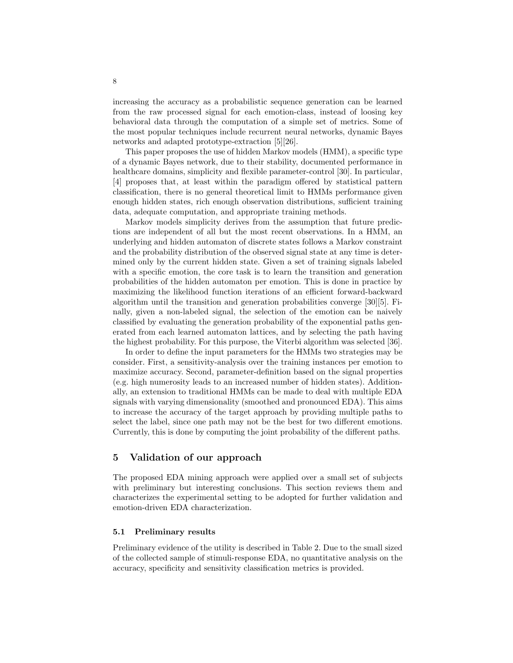increasing the accuracy as a probabilistic sequence generation can be learned from the raw processed signal for each emotion-class, instead of loosing key behavioral data through the computation of a simple set of metrics. Some of the most popular techniques include recurrent neural networks, dynamic Bayes networks and adapted prototype-extraction [5][26].

This paper proposes the use of hidden Markov models (HMM), a specific type of a dynamic Bayes network, due to their stability, documented performance in healthcare domains, simplicity and flexible parameter-control [30]. In particular, [4] proposes that, at least within the paradigm offered by statistical pattern classification, there is no general theoretical limit to HMMs performance given enough hidden states, rich enough observation distributions, sufficient training data, adequate computation, and appropriate training methods.

Markov models simplicity derives from the assumption that future predictions are independent of all but the most recent observations. In a HMM, an underlying and hidden automaton of discrete states follows a Markov constraint and the probability distribution of the observed signal state at any time is determined only by the current hidden state. Given a set of training signals labeled with a specific emotion, the core task is to learn the transition and generation probabilities of the hidden automaton per emotion. This is done in practice by maximizing the likelihood function iterations of an efficient forward-backward algorithm until the transition and generation probabilities converge [30][5]. Finally, given a non-labeled signal, the selection of the emotion can be naively classified by evaluating the generation probability of the exponential paths generated from each learned automaton lattices, and by selecting the path having the highest probability. For this purpose, the Viterbi algorithm was selected [36].

In order to define the input parameters for the HMMs two strategies may be consider. First, a sensitivity-analysis over the training instances per emotion to maximize accuracy. Second, parameter-definition based on the signal properties (e.g. high numerosity leads to an increased number of hidden states). Additionally, an extension to traditional HMMs can be made to deal with multiple EDA signals with varying dimensionality (smoothed and pronounced EDA). This aims to increase the accuracy of the target approach by providing multiple paths to select the label, since one path may not be the best for two different emotions. Currently, this is done by computing the joint probability of the different paths.

## 5 Validation of our approach

The proposed EDA mining approach were applied over a small set of subjects with preliminary but interesting conclusions. This section reviews them and characterizes the experimental setting to be adopted for further validation and emotion-driven EDA characterization.

#### 5.1 Preliminary results

Preliminary evidence of the utility is described in Table 2. Due to the small sized of the collected sample of stimuli-response EDA, no quantitative analysis on the accuracy, specificity and sensitivity classification metrics is provided.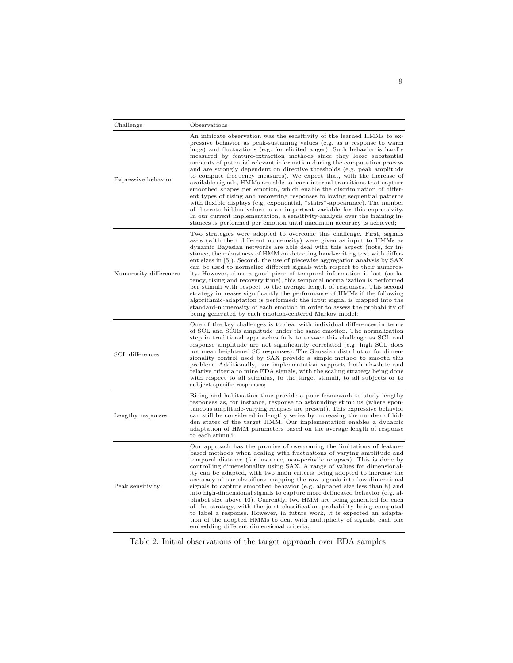| Challenge              | Observations                                                                                                                                                                                                                                                                                                                                                                                                                                                                                                                                                                                                                                                                                                                                                                                                                                                                                                                                                                                                                                                                                    |
|------------------------|-------------------------------------------------------------------------------------------------------------------------------------------------------------------------------------------------------------------------------------------------------------------------------------------------------------------------------------------------------------------------------------------------------------------------------------------------------------------------------------------------------------------------------------------------------------------------------------------------------------------------------------------------------------------------------------------------------------------------------------------------------------------------------------------------------------------------------------------------------------------------------------------------------------------------------------------------------------------------------------------------------------------------------------------------------------------------------------------------|
| Expressive behavior    | An intricate observation was the sensitivity of the learned HMMs to ex-<br>pressive behavior as peak-sustaining values (e.g. as a response to warm<br>hugs) and fluctuations (e.g. for elicited anger). Such behavior is hardly<br>measured by feature-extraction methods since they loose substantial<br>amounts of potential relevant information during the computation process<br>and are strongly dependent on directive thresholds (e.g. peak amplitude<br>to compute frequency measures). We expect that, with the increase of<br>available signals, HMMs are able to learn internal transitions that capture<br>smoothed shapes per emotion, which enable the discrimination of differ-<br>ent types of rising and recovering responses following sequential patterns<br>with flexible displays (e.g. exponential, "stairs"-appearance). The number<br>of discrete hidden values is an important variable for this expressivity.<br>In our current implementation, a sensitivity-analysis over the training in-<br>stances is performed per emotion until maximum accuracy is achieved; |
| Numerosity differences | Two strategies were adopted to overcome this challenge. First, signals<br>as-is (with their different numerosity) were given as input to HMMs as<br>dynamic Bayesian networks are able deal with this aspect (note, for in-<br>stance, the robustness of HMM on detecting hand-writing text with differ-<br>ent sizes in $[5]$ ). Second, the use of piecewise aggregation analysis by SAX<br>can be used to normalize different signals with respect to their numeros-<br>ity. However, since a good piece of temporal information is lost (as la-<br>tency, rising and recovery time), this temporal normalization is performed<br>per stimuli with respect to the average length of responses. This second<br>strategy increases significantly the performance of HMMs if the following<br>algorithmic-adaptation is performed: the input signal is mapped into the<br>standard-numerosity of each emotion in order to assess the probability of<br>being generated by each emotion-centered Markov model;                                                                                   |
| <b>SCL</b> differences | One of the key challenges is to deal with individual differences in terms<br>of SCL and SCRs amplitude under the same emotion. The normalization<br>step in traditional approaches fails to answer this challenge as SCL and<br>response amplitude are not significantly correlated (e.g. high SCL does<br>not mean heightened SC responses). The Gaussian distribution for dimen-<br>sionality control used by SAX provide a simple method to smooth this<br>problem. Additionally, our implementation supports both absolute and<br>relative criteria to mine EDA signals, with the scaling strategy being done<br>with respect to all stimulus, to the target stimuli, to all subjects or to<br>subject-specific responses;                                                                                                                                                                                                                                                                                                                                                                  |
| Lengthy responses      | Rising and habituation time provide a poor framework to study lengthy<br>responses as, for instance, response to astounding stimulus (where spon-<br>taneous amplitude-varying relapses are present). This expressive behavior<br>can still be considered in lengthy series by increasing the number of hid-<br>den states of the target HMM. Our implementation enables a dynamic<br>adaptation of HMM parameters based on the average length of response<br>to each stimuli;                                                                                                                                                                                                                                                                                                                                                                                                                                                                                                                                                                                                                  |
| Peak sensitivity       | Our approach has the promise of overcoming the limitations of feature-<br>based methods when dealing with fluctuations of varying amplitude and<br>temporal distance (for instance, non-periodic relapses). This is done by<br>controlling dimensionality using SAX. A range of values for dimensional-<br>ity can be adapted, with two main criteria being adopted to increase the<br>accuracy of our classifiers: mapping the raw signals into low-dimensional<br>signals to capture smoothed behavior (e.g. alphabet size less than 8) and<br>into high-dimensional signals to capture more delineated behavior (e.g. al-<br>phabet size above 10). Currently, two HMM are being generated for each<br>of the strategy, with the joint classification probability being computed<br>to label a response. However, in future work, it is expected an adapta-<br>tion of the adopted HMMs to deal with multiplicity of signals, each one<br>embedding different dimensional criteria;                                                                                                          |

Table 2: Initial observations of the target approach over EDA samples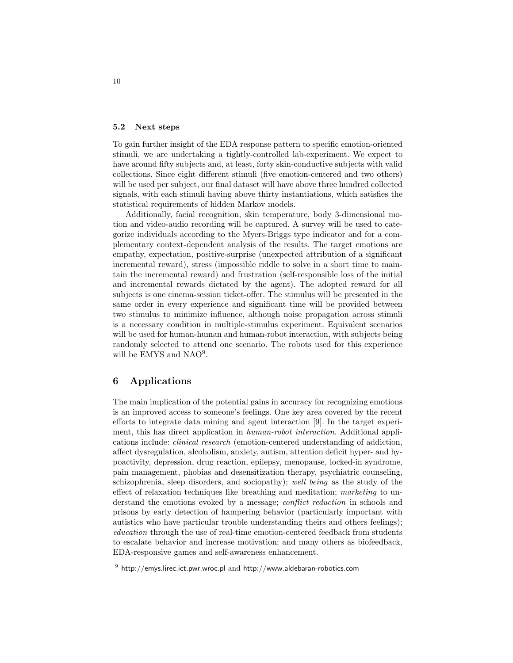#### 5.2 Next steps

To gain further insight of the EDA response pattern to specific emotion-oriented stimuli, we are undertaking a tightly-controlled lab-experiment. We expect to have around fifty subjects and, at least, forty skin-conductive subjects with valid collections. Since eight different stimuli (five emotion-centered and two others) will be used per subject, our final dataset will have above three hundred collected signals, with each stimuli having above thirty instantiations, which satisfies the statistical requirements of hidden Markov models.

Additionally, facial recognition, skin temperature, body 3-dimensional motion and video-audio recording will be captured. A survey will be used to categorize individuals according to the Myers-Briggs type indicator and for a complementary context-dependent analysis of the results. The target emotions are empathy, expectation, positive-surprise (unexpected attribution of a significant incremental reward), stress (impossible riddle to solve in a short time to maintain the incremental reward) and frustration (self-responsible loss of the initial and incremental rewards dictated by the agent). The adopted reward for all subjects is one cinema-session ticket-offer. The stimulus will be presented in the same order in every experience and significant time will be provided between two stimulus to minimize influence, although noise propagation across stimuli is a necessary condition in multiple-stimulus experiment. Equivalent scenarios will be used for human-human and human-robot interaction, with subjects being randomly selected to attend one scenario. The robots used for this experience will be EMYS and NAO<sup>9</sup>.

## 6 Applications

The main implication of the potential gains in accuracy for recognizing emotions is an improved access to someone's feelings. One key area covered by the recent efforts to integrate data mining and agent interaction [9]. In the target experiment, this has direct application in human-robot interaction. Additional applications include: clinical research (emotion-centered understanding of addiction, affect dysregulation, alcoholism, anxiety, autism, attention deficit hyper- and hypoactivity, depression, drug reaction, epilepsy, menopause, locked-in syndrome, pain management, phobias and desensitization therapy, psychiatric counseling, schizophrenia, sleep disorders, and sociopathy); well being as the study of the effect of relaxation techniques like breathing and meditation; marketing to understand the emotions evoked by a message; *conflict reduction* in schools and prisons by early detection of hampering behavior (particularly important with autistics who have particular trouble understanding theirs and others feelings); education through the use of real-time emotion-centered feedback from students to escalate behavior and increase motivation; and many others as biofeedback, EDA-responsive games and self-awareness enhancement.

 $^{9}$  http://emys.lirec.ict.pwr.wroc.pl and http://www.aldebaran-robotics.com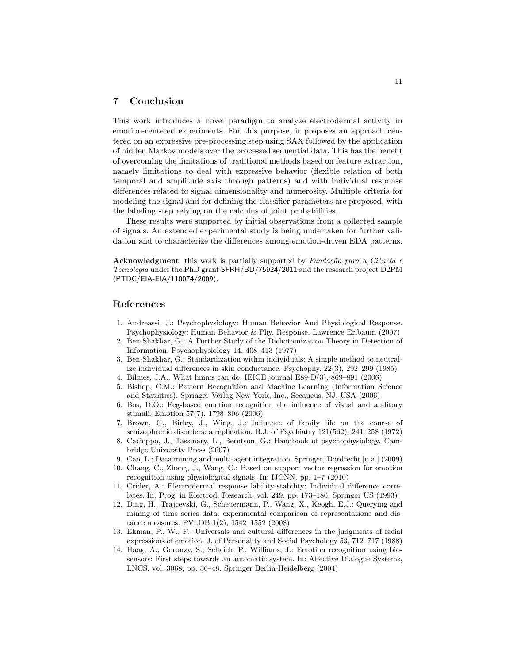# 7 Conclusion

This work introduces a novel paradigm to analyze electrodermal activity in emotion-centered experiments. For this purpose, it proposes an approach centered on an expressive pre-processing step using SAX followed by the application of hidden Markov models over the processed sequential data. This has the benefit of overcoming the limitations of traditional methods based on feature extraction, namely limitations to deal with expressive behavior (flexible relation of both temporal and amplitude axis through patterns) and with individual response differences related to signal dimensionality and numerosity. Multiple criteria for modeling the signal and for defining the classifier parameters are proposed, with the labeling step relying on the calculus of joint probabilities.

These results were supported by initial observations from a collected sample of signals. An extended experimental study is being undertaken for further validation and to characterize the differences among emotion-driven EDA patterns.

Acknowledgment: this work is partially supported by  $Fundac\tilde{a}o$  para a Ciência e Tecnologia under the PhD grant SFRH/BD/75924/2011 and the research project D2PM (PTDC/EIA-EIA/110074/2009).

## References

- 1. Andreassi, J.: Psychophysiology: Human Behavior And Physiological Response. Psychophysiology: Human Behavior & Phy. Response, Lawrence Erlbaum (2007)
- 2. Ben-Shakhar, G.: A Further Study of the Dichotomization Theory in Detection of Information. Psychophysiology 14, 408–413 (1977)
- 3. Ben-Shakhar, G.: Standardization within individuals: A simple method to neutralize individual differences in skin conductance. Psychophy. 22(3), 292–299 (1985)
- 4. Bilmes, J.A.: What hmms can do. IEICE journal E89-D(3), 869–891 (2006)
- 5. Bishop, C.M.: Pattern Recognition and Machine Learning (Information Science and Statistics). Springer-Verlag New York, Inc., Secaucus, NJ, USA (2006)
- 6. Bos, D.O.: Eeg-based emotion recognition the influence of visual and auditory stimuli. Emotion 57(7), 1798–806 (2006)
- 7. Brown, G., Birley, J., Wing, J.: Influence of family life on the course of schizophrenic disorders: a replication. B.J. of Psychiatry 121(562), 241–258 (1972)
- 8. Cacioppo, J., Tassinary, L., Berntson, G.: Handbook of psychophysiology. Cambridge University Press (2007)
- 9. Cao, L.: Data mining and multi-agent integration. Springer, Dordrecht [u.a.] (2009)
- 10. Chang, C., Zheng, J., Wang, C.: Based on support vector regression for emotion recognition using physiological signals. In: IJCNN. pp. 1–7 (2010)
- 11. Crider, A.: Electrodermal response lability-stability: Individual difference correlates. In: Prog. in Electrod. Research, vol. 249, pp. 173–186. Springer US (1993)
- 12. Ding, H., Trajcevski, G., Scheuermann, P., Wang, X., Keogh, E.J.: Querying and mining of time series data: experimental comparison of representations and distance measures. PVLDB 1(2), 1542–1552 (2008)
- 13. Ekman, P., W., F.: Universals and cultural differences in the judgments of facial expressions of emotion. J. of Personality and Social Psychology 53, 712–717 (1988)
- 14. Haag, A., Goronzy, S., Schaich, P., Williams, J.: Emotion recognition using biosensors: First steps towards an automatic system. In: Affective Dialogue Systems, LNCS, vol. 3068, pp. 36–48. Springer Berlin-Heidelberg (2004)